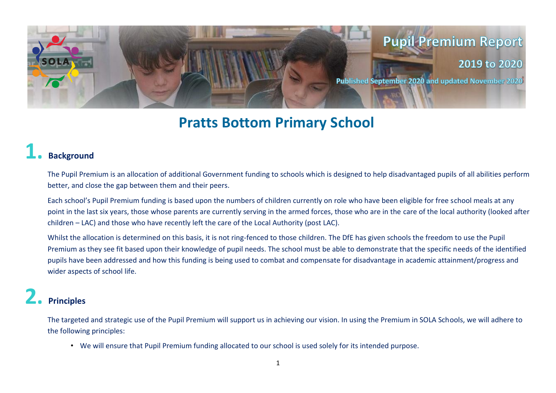

## **Pratts Bottom Primary School**

#### **1. Background**

The Pupil Premium is an allocation of additional Government funding to schools which is designed to help disadvantaged pupils of all abilities perform better, and close the gap between them and their peers.

Each school's Pupil Premium funding is based upon the numbers of children currently on role who have been eligible for free school meals at any point in the last six years, those whose parents are currently serving in the armed forces, those who are in the care of the local authority (looked after children – LAC) and those who have recently left the care of the Local Authority (post LAC).

Whilst the allocation is determined on this basis, it is not ring-fenced to those children. The DfE has given schools the freedom to use the Pupil Premium as they see fit based upon their knowledge of pupil needs. The school must be able to demonstrate that the specific needs of the identified pupils have been addressed and how this funding is being used to combat and compensate for disadvantage in academic attainment/progress and wider aspects of school life.

#### **2. Principles**

The targeted and strategic use of the Pupil Premium will support us in achieving our vision. In using the Premium in SOLA Schools, we will adhere to the following principles:

• We will ensure that Pupil Premium funding allocated to our school is used solely for its intended purpose.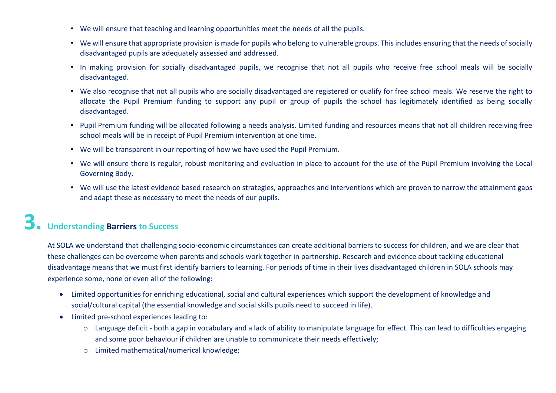- We will ensure that teaching and learning opportunities meet the needs of all the pupils.
- We will ensure that appropriate provision is made for pupils who belong to vulnerable groups. This includes ensuring that the needs of socially disadvantaged pupils are adequately assessed and addressed.
- In making provision for socially disadvantaged pupils, we recognise that not all pupils who receive free school meals will be socially disadvantaged.
- We also recognise that not all pupils who are socially disadvantaged are registered or qualify for free school meals. We reserve the right to allocate the Pupil Premium funding to support any pupil or group of pupils the school has legitimately identified as being socially disadvantaged.
- Pupil Premium funding will be allocated following a needs analysis. Limited funding and resources means that not all children receiving free school meals will be in receipt of Pupil Premium intervention at one time.
- We will be transparent in our reporting of how we have used the Pupil Premium.
- We will ensure there is regular, robust monitoring and evaluation in place to account for the use of the Pupil Premium involving the Local Governing Body.
- We will use the latest evidence based research on strategies, approaches and interventions which are proven to narrow the attainment gaps and adapt these as necessary to meet the needs of our pupils.

## **3. Understanding Barriers to Success**

At SOLA we understand that challenging socio-economic circumstances can create additional barriers to success for children, and we are clear that these challenges can be overcome when parents and schools work together in partnership. Research and evidence about tackling educational disadvantage means that we must first identify barriers to learning. For periods of time in their lives disadvantaged children in SOLA schools may experience some, none or even all of the following:

- Limited opportunities for enriching educational, social and cultural experiences which support the development of knowledge and social/cultural capital (the essential knowledge and social skills pupils need to succeed in life).
- Limited pre-school experiences leading to:
	- $\circ$  Language deficit both a gap in vocabulary and a lack of ability to manipulate language for effect. This can lead to difficulties engaging and some poor behaviour if children are unable to communicate their needs effectively;
	- o Limited mathematical/numerical knowledge;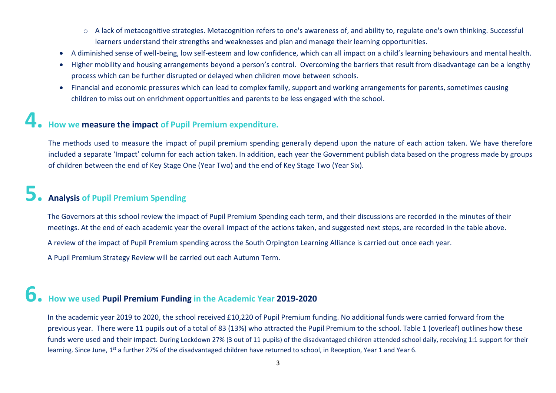- o A lack of metacognitive strategies. Metacognition refers to one's awareness of, and ability to, regulate one's own thinking. Successful learners understand their strengths and weaknesses and plan and manage their learning opportunities.
- A diminished sense of well-being, low self-esteem and low confidence, which can all impact on a child's learning behaviours and mental health.
- Higher mobility and housing arrangements beyond a person's control. Overcoming the barriers that result from disadvantage can be a lengthy process which can be further disrupted or delayed when children move between schools.
- Financial and economic pressures which can lead to complex family, support and working arrangements for parents, sometimes causing children to miss out on enrichment opportunities and parents to be less engaged with the school.

#### **4. How we measure the impact of Pupil Premium expenditure.**

The methods used to measure the impact of pupil premium spending generally depend upon the nature of each action taken. We have therefore included a separate 'Impact' column for each action taken. In addition, each year the Government publish data based on the progress made by groups of children between the end of Key Stage One (Year Two) and the end of Key Stage Two (Year Six).

### **5. Analysis of Pupil Premium Spending**

The Governors at this school review the impact of Pupil Premium Spending each term, and their discussions are recorded in the minutes of their meetings. At the end of each academic year the overall impact of the actions taken, and suggested next steps, are recorded in the table above. A review of the impact of Pupil Premium spending across the South Orpington Learning Alliance is carried out once each year.

A Pupil Premium Strategy Review will be carried out each Autumn Term.

### **6. How we used Pupil Premium Funding in the Academic Year 2019-2020**

In the academic year 2019 to 2020, the school received £10,220 of Pupil Premium funding. No additional funds were carried forward from the previous year. There were 11 pupils out of a total of 83 (13%) who attracted the Pupil Premium to the school. Table 1 (overleaf) outlines how these funds were used and their impact. During Lockdown 27% (3 out of 11 pupils) of the disadvantaged children attended school daily, receiving 1:1 support for their learning. Since June, 1<sup>st</sup> a further 27% of the disadvantaged children have returned to school, in Reception, Year 1 and Year 6.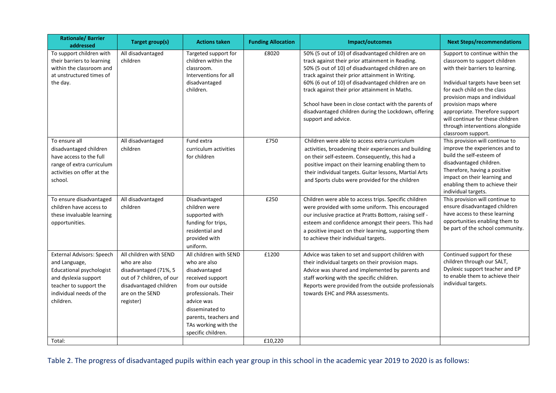| <b>Rationale/Barrier</b><br>addressed                                                                                                                                   | Target group(s)                                                                                                                                        | <b>Actions taken</b>                                                                                                                                                                                                            | <b>Funding Allocation</b> | Impact/outcomes                                                                                                                                                                                                                                                                                                                                                                                                                                                  | <b>Next Steps/recommendations</b>                                                                                                                                                                                                                                                                                                                              |
|-------------------------------------------------------------------------------------------------------------------------------------------------------------------------|--------------------------------------------------------------------------------------------------------------------------------------------------------|---------------------------------------------------------------------------------------------------------------------------------------------------------------------------------------------------------------------------------|---------------------------|------------------------------------------------------------------------------------------------------------------------------------------------------------------------------------------------------------------------------------------------------------------------------------------------------------------------------------------------------------------------------------------------------------------------------------------------------------------|----------------------------------------------------------------------------------------------------------------------------------------------------------------------------------------------------------------------------------------------------------------------------------------------------------------------------------------------------------------|
| To support children with<br>their barriers to learning<br>within the classroom and<br>at unstructured times of<br>the day.                                              | All disadvantaged<br>children                                                                                                                          | Targeted support for<br>children within the<br>classroom.<br>Interventions for all<br>disadvantaged<br>children.                                                                                                                | £8020                     | 50% (5 out of 10) of disadvantaged children are on<br>track against their prior attainment in Reading.<br>50% (5 out of 10) of disadvantaged children are on<br>track against their prior attainment in Writing.<br>60% (6 out of 10) of disadvantaged children are on<br>track against their prior attainment in Maths.<br>School have been in close contact with the parents of<br>disadvantaged children during the Lockdown, offering<br>support and advice. | Support to continue within the<br>classroom to support children<br>with their barriers to learning.<br>Individual targets have been set<br>for each child on the class<br>provision maps and individual<br>provision maps where<br>appropriate. Therefore support<br>will continue for these children<br>through interventions alongside<br>classroom support. |
| To ensure all<br>disadvantaged children<br>have access to the full<br>range of extra curriculum<br>activities on offer at the<br>school.                                | All disadvantaged<br>children                                                                                                                          | Fund extra<br>curriculum activities<br>for children                                                                                                                                                                             | £750                      | Children were able to access extra curriculum<br>activities, broadening their experiences and building<br>on their self-esteem. Consequently, this had a<br>positive impact on their learning enabling them to<br>their individual targets. Guitar lessons, Martial Arts<br>and Sports clubs were provided for the children                                                                                                                                      | This provision will continue to<br>improve the experiences and to<br>build the self-esteem of<br>disadvantaged children.<br>Therefore, having a positive<br>impact on their learning and<br>enabling them to achieve their<br>individual targets.                                                                                                              |
| To ensure disadvantaged<br>children have access to<br>these invaluable learning<br>opportunities.                                                                       | All disadvantaged<br>children                                                                                                                          | Disadvantaged<br>children were<br>supported with<br>funding for trips,<br>residential and<br>provided with<br>uniform.                                                                                                          | £250                      | Children were able to access trips. Specific children<br>were provided with some uniform. This encouraged<br>our inclusive practice at Pratts Bottom, raising self -<br>esteem and confidence amongst their peers. This had<br>a positive impact on their learning, supporting them<br>to achieve their individual targets.                                                                                                                                      | This provision will continue to<br>ensure disadvantaged children<br>have access to these learning<br>opportunities enabling them to<br>be part of the school community.                                                                                                                                                                                        |
| <b>External Advisors: Speech</b><br>and Language,<br>Educational psychologist<br>and dyslexia support<br>teacher to support the<br>individual needs of the<br>children. | All children with SEND<br>who are also<br>disadvantaged (71%, 5<br>out of 7 children, of our<br>disadvantaged children<br>are on the SEND<br>register) | All children with SEND<br>who are also<br>disadvantaged<br>received support<br>from our outside<br>professionals. Their<br>advice was<br>disseminated to<br>parents, teachers and<br>TAs working with the<br>specific children. | £1200                     | Advice was taken to set and support children with<br>their individual targets on their provision maps.<br>Advice was shared and implemented by parents and<br>staff working with the specific children.<br>Reports were provided from the outside professionals<br>towards EHC and PRA assessments.                                                                                                                                                              | Continued support for these<br>children through our SALT,<br>Dyslexic support teacher and EP<br>to enable them to achieve their<br>individual targets.                                                                                                                                                                                                         |
| Total:                                                                                                                                                                  |                                                                                                                                                        |                                                                                                                                                                                                                                 | £10,220                   |                                                                                                                                                                                                                                                                                                                                                                                                                                                                  |                                                                                                                                                                                                                                                                                                                                                                |

Table 2. The progress of disadvantaged pupils within each year group in this school in the academic year 2019 to 2020 is as follows: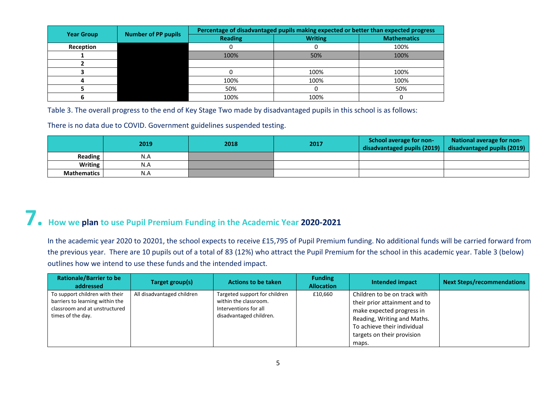| <b>Year Group</b> | <b>Number of PP pupils</b> | Percentage of disadvantaged pupils making expected or better than expected progress |                |                    |  |  |
|-------------------|----------------------------|-------------------------------------------------------------------------------------|----------------|--------------------|--|--|
|                   |                            | <b>Reading</b>                                                                      | <b>Writing</b> | <b>Mathematics</b> |  |  |
| Reception         |                            |                                                                                     |                | 100%               |  |  |
|                   |                            | 100%                                                                                | 50%            | 100%               |  |  |
|                   |                            |                                                                                     |                |                    |  |  |
|                   |                            |                                                                                     | 100%           | 100%               |  |  |
|                   |                            | 100%                                                                                | 100%           | 100%               |  |  |
|                   |                            | 50%                                                                                 |                | 50%                |  |  |
|                   |                            | 100%                                                                                | 100%           |                    |  |  |

Table 3. The overall progress to the end of Key Stage Two made by disadvantaged pupils in this school is as follows:

There is no data due to COVID. Government guidelines suspended testing.

|                    | 2019 | 2018 | 2017 | School average for non- | National average for non-<br>disadvantaged pupils (2019) $\vert$ disadvantaged pupils (2019) |
|--------------------|------|------|------|-------------------------|----------------------------------------------------------------------------------------------|
| Reading            | N.A  |      |      |                         |                                                                                              |
| <b>Writing</b>     | N.A  |      |      |                         |                                                                                              |
| <b>Mathematics</b> | N.A  |      |      |                         |                                                                                              |

# **7. How we plan to use Pupil Premium Funding in the Academic Year 2020-2021**

In the academic year 2020 to 20201, the school expects to receive £15,795 of Pupil Premium funding. No additional funds will be carried forward from the previous year. There are 10 pupils out of a total of 83 (12%) who attract the Pupil Premium for the school in this academic year. Table 3 (below) outlines how we intend to use these funds and the intended impact.

| <b>Rationale/Barrier to be</b><br>addressed                                                                             | Target group(s)            | <b>Actions to be taken</b>                                                                                 | <b>Funding</b><br><b>Allocation</b> | Intended impact                                                                                                                                                                                 | <b>Next Steps/recommendations</b> |
|-------------------------------------------------------------------------------------------------------------------------|----------------------------|------------------------------------------------------------------------------------------------------------|-------------------------------------|-------------------------------------------------------------------------------------------------------------------------------------------------------------------------------------------------|-----------------------------------|
| To support children with their<br>barriers to learning within the<br>classroom and at unstructured<br>times of the day. | All disadvantaged children | Targeted support for children<br>within the classroom.<br>Interventions for all<br>disadvantaged children. | £10,660                             | Children to be on track with<br>their prior attainment and to<br>make expected progress in<br>Reading, Writing and Maths.<br>To achieve their individual<br>targets on their provision<br>maps. |                                   |